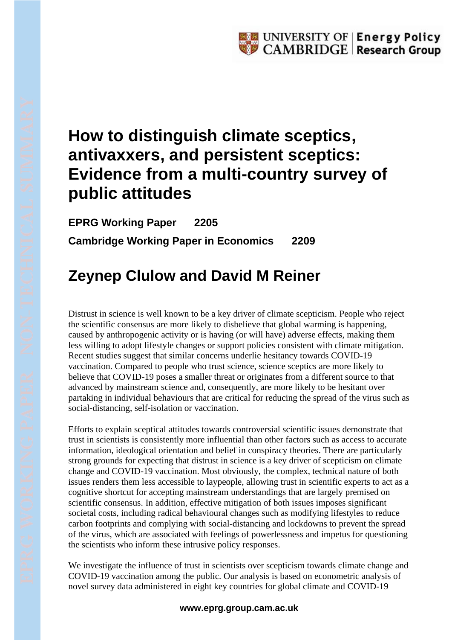## **How to distinguish climate sceptics, antivaxxers, and persistent sceptics: Evidence from a multi-country survey of public attitudes**

**EPRG Working Paper 2205 Cambridge Working Paper in Economics 2209**

## **Zeynep Clulow and David M Reiner**

Distrust in science is well known to be a key driver of climate scepticism. People who reject the scientific consensus are more likely to disbelieve that global warming is happening, caused by anthropogenic activity or is having (or will have) adverse effects, making them less willing to adopt lifestyle changes or support policies consistent with climate mitigation. Recent studies suggest that similar concerns underlie hesitancy towards COVID-19 vaccination. Compared to people who trust science, science sceptics are more likely to believe that COVID-19 poses a smaller threat or originates from a different source to that advanced by mainstream science and, consequently, are more likely to be hesitant over partaking in individual behaviours that are critical for reducing the spread of the virus such as social-distancing, self-isolation or vaccination.

Efforts to explain sceptical attitudes towards controversial scientific issues demonstrate that trust in scientists is consistently more influential than other factors such as access to accurate information, ideological orientation and belief in conspiracy theories. There are particularly strong grounds for expecting that distrust in science is a key driver of scepticism on climate change and COVID-19 vaccination. Most obviously, the complex, technical nature of both issues renders them less accessible to laypeople, allowing trust in scientific experts to act as a cognitive shortcut for accepting mainstream understandings that are largely premised on scientific consensus. In addition, effective mitigation of both issues imposes significant societal costs, including radical behavioural changes such as modifying lifestyles to reduce carbon footprints and complying with social-distancing and lockdowns to prevent the spread of the virus, which are associated with feelings of powerlessness and impetus for questioning the scientists who inform these intrusive policy responses.

We investigate the influence of trust in scientists over scepticism towards climate change and COVID-19 vaccination among the public. Our analysis is based on econometric analysis of novel survey data administered in eight key countries for global climate and COVID-19

## **www.eprg.group.cam.ac.uk**